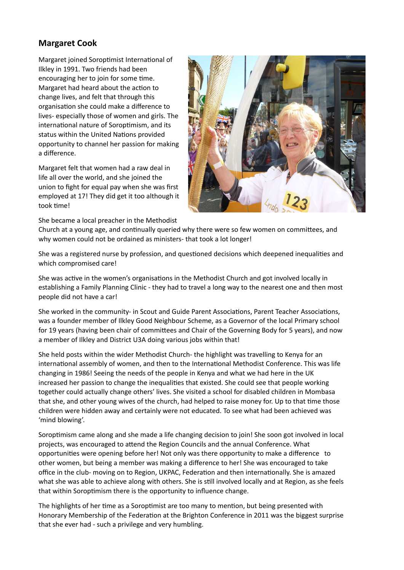## **Margaret Cook**

Margaret joined Soroptimist International of Ilkley in 1991. Two friends had been encouraging her to join for some time. Margaret had heard about the action to change lives, and felt that through this organisation she could make a difference to lives- especially those of women and girls. The international nature of Soroptimism, and its status within the United Nations provided opportunity to channel her passion for making a difference.

Margaret felt that women had a raw deal in life all over the world, and she joined the union to fight for equal pay when she was first employed at 17! They did get it too although it took time!





Church at a young age, and continually queried why there were so few women on committees, and why women could not be ordained as ministers- that took a lot longer!

She was a registered nurse by profession, and questioned decisions which deepened inequalities and which compromised care!

She was active in the women's organisations in the Methodist Church and got involved locally in establishing a Family Planning Clinic - they had to travel a long way to the nearest one and then most people did not have a car!

She worked in the community- in Scout and Guide Parent Associations, Parent Teacher Associations, was a founder member of Ilkley Good Neighbour Scheme, as a Governor of the local Primary school for 19 years (having been chair of committees and Chair of the Governing Body for 5 years), and now a member of Ilkley and District U3A doing various jobs within that!

She held posts within the wider Methodist Church- the highlight was travelling to Kenya for an international assembly of women, and then to the International Methodist Conference. This was life changing in 1986! Seeing the needs of the people in Kenya and what we had here in the UK increased her passion to change the inequalities that existed. She could see that people working together could actually change others' lives. She visited a school for disabled children in Mombasa that she, and other young wives of the church, had helped to raise money for. Up to that time those children were hidden away and certainly were not educated. To see what had been achieved was 'mind blowing'.

Soroptimism came along and she made a life changing decision to join! She soon got involved in local projects, was encouraged to attend the Region Councils and the annual Conference. What opportunities were opening before her! Not only was there opportunity to make a difference to other women, but being a member was making a difference to her! She was encouraged to take office in the club- moving on to Region, UKPAC, Federation and then internationally. She is amazed what she was able to achieve along with others. She is still involved locally and at Region, as she feels that within Soroptimism there is the opportunity to influence change.

The highlights of her time as a Soroptimist are too many to mention, but being presented with Honorary Membership of the Federation at the Brighton Conference in 2011 was the biggest surprise that she ever had - such a privilege and very humbling.